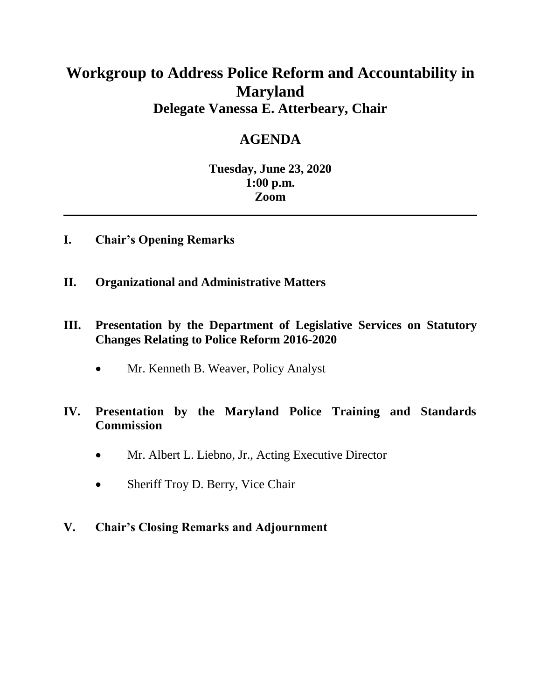#### **Workgroup to Address Police Reform and Accountability in Maryland Delegate Vanessa E. Atterbeary, Chair**

#### **AGENDA**

#### **Tuesday, June 23, 2020 1:00 p.m. Zoom**

- **I. Chair's Opening Remarks**
- **II. Organizational and Administrative Matters**
- **III. Presentation by the Department of Legislative Services on Statutory Changes Relating to Police Reform 2016-2020**
	- Mr. Kenneth B. Weaver, Policy Analyst

#### **IV. Presentation by the Maryland Police Training and Standards Commission**

- Mr. Albert L. Liebno, Jr., Acting Executive Director
- Sheriff Troy D. Berry, Vice Chair
- **V. Chair's Closing Remarks and Adjournment**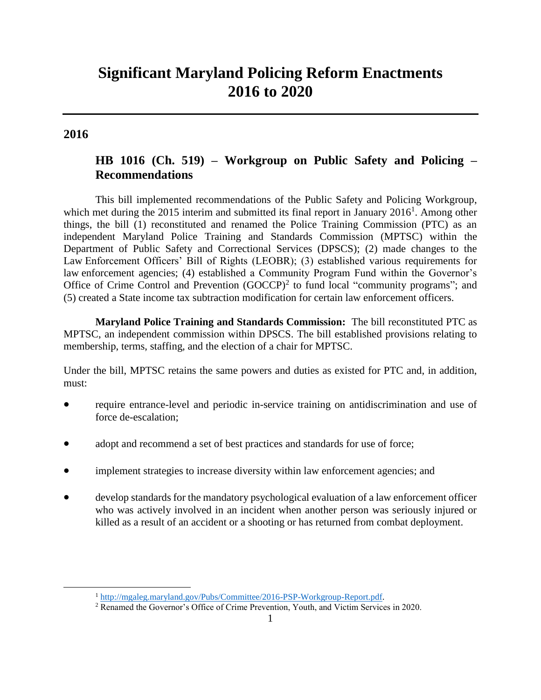#### **Significant Maryland Policing Reform Enactments 2016 to 2020**

#### **2016**

 $\overline{\phantom{a}}$ 

#### **HB 1016 (Ch. 519) – Workgroup on Public Safety and Policing – Recommendations**

This bill implemented recommendations of the Public Safety and Policing Workgroup, which met during the 2015 interim and submitted its final report in January  $2016<sup>1</sup>$ . Among other things, the bill (1) reconstituted and renamed the Police Training Commission (PTC) as an independent Maryland Police Training and Standards Commission (MPTSC) within the Department of Public Safety and Correctional Services (DPSCS); (2) made changes to the Law Enforcement Officers' Bill of Rights (LEOBR); (3) established various requirements for law enforcement agencies; (4) established a Community Program Fund within the Governor's Office of Crime Control and Prevention  $(GOCCP)^2$  to fund local "community programs"; and (5) created a State income tax subtraction modification for certain law enforcement officers.

**Maryland Police Training and Standards Commission:** The bill reconstituted PTC as MPTSC, an independent commission within DPSCS. The bill established provisions relating to membership, terms, staffing, and the election of a chair for MPTSC.

Under the bill, MPTSC retains the same powers and duties as existed for PTC and, in addition, must:

- require entrance-level and periodic in-service training on antidiscrimination and use of force de-escalation;
- adopt and recommend a set of best practices and standards for use of force;
- implement strategies to increase diversity within law enforcement agencies; and
- develop standards for the mandatory psychological evaluation of a law enforcement officer who was actively involved in an incident when another person was seriously injured or killed as a result of an accident or a shooting or has returned from combat deployment.

<sup>1</sup> [http://mgaleg.maryland.gov/Pubs/Committee/2016-PSP-Workgroup-Report.pdf.](http://mgaleg.maryland.gov/Pubs/Committee/2016-PSP-Workgroup-Report.pdf)

<sup>2</sup> Renamed the Governor's Office of Crime Prevention, Youth, and Victim Services in 2020.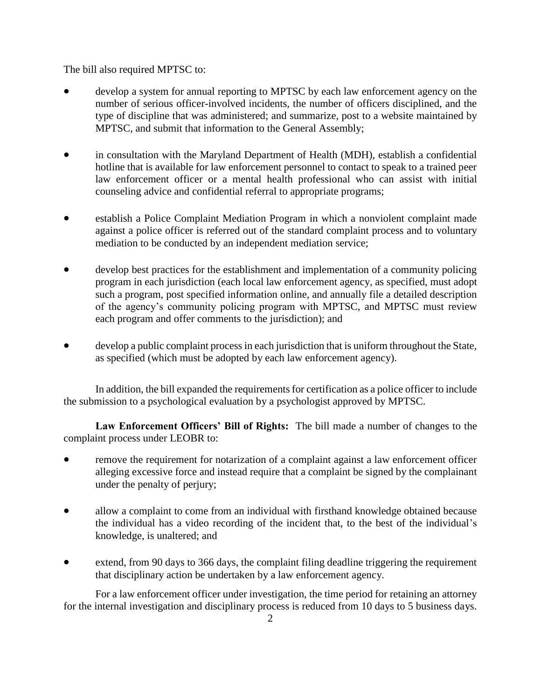The bill also required MPTSC to:

- develop a system for annual reporting to MPTSC by each law enforcement agency on the number of serious officer-involved incidents, the number of officers disciplined, and the type of discipline that was administered; and summarize, post to a website maintained by MPTSC, and submit that information to the General Assembly;
- in consultation with the Maryland Department of Health (MDH), establish a confidential hotline that is available for law enforcement personnel to contact to speak to a trained peer law enforcement officer or a mental health professional who can assist with initial counseling advice and confidential referral to appropriate programs;
- establish a Police Complaint Mediation Program in which a nonviolent complaint made against a police officer is referred out of the standard complaint process and to voluntary mediation to be conducted by an independent mediation service;
- develop best practices for the establishment and implementation of a community policing program in each jurisdiction (each local law enforcement agency, as specified, must adopt such a program, post specified information online, and annually file a detailed description of the agency's community policing program with MPTSC, and MPTSC must review each program and offer comments to the jurisdiction); and
- develop a public complaint process in each jurisdiction that is uniform throughout the State, as specified (which must be adopted by each law enforcement agency).

In addition, the bill expanded the requirements for certification as a police officer to include the submission to a psychological evaluation by a psychologist approved by MPTSC.

**Law Enforcement Officers' Bill of Rights:** The bill made a number of changes to the complaint process under LEOBR to:

- remove the requirement for notarization of a complaint against a law enforcement officer alleging excessive force and instead require that a complaint be signed by the complainant under the penalty of perjury;
- allow a complaint to come from an individual with firsthand knowledge obtained because the individual has a video recording of the incident that, to the best of the individual's knowledge, is unaltered; and
- extend, from 90 days to 366 days, the complaint filing deadline triggering the requirement that disciplinary action be undertaken by a law enforcement agency.

For a law enforcement officer under investigation, the time period for retaining an attorney for the internal investigation and disciplinary process is reduced from 10 days to 5 business days.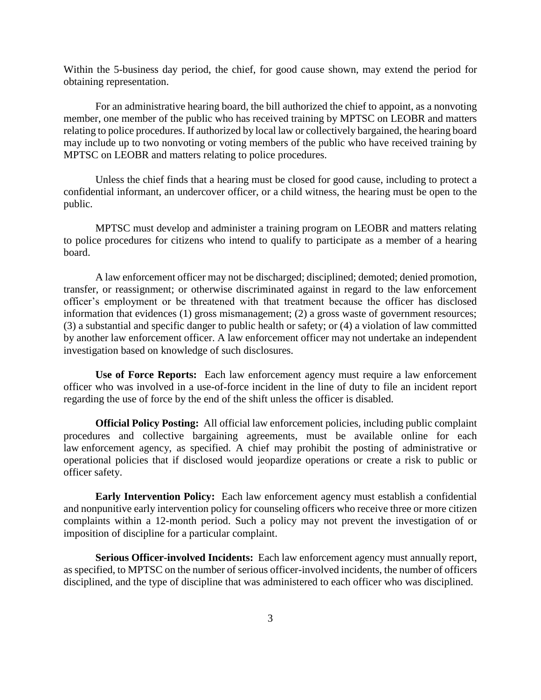Within the 5-business day period, the chief, for good cause shown, may extend the period for obtaining representation.

For an administrative hearing board, the bill authorized the chief to appoint, as a nonvoting member, one member of the public who has received training by MPTSC on LEOBR and matters relating to police procedures. If authorized by local law or collectively bargained, the hearing board may include up to two nonvoting or voting members of the public who have received training by MPTSC on LEOBR and matters relating to police procedures.

Unless the chief finds that a hearing must be closed for good cause, including to protect a confidential informant, an undercover officer, or a child witness, the hearing must be open to the public.

MPTSC must develop and administer a training program on LEOBR and matters relating to police procedures for citizens who intend to qualify to participate as a member of a hearing board.

A law enforcement officer may not be discharged; disciplined; demoted; denied promotion, transfer, or reassignment; or otherwise discriminated against in regard to the law enforcement officer's employment or be threatened with that treatment because the officer has disclosed information that evidences (1) gross mismanagement; (2) a gross waste of government resources; (3) a substantial and specific danger to public health or safety; or (4) a violation of law committed by another law enforcement officer. A law enforcement officer may not undertake an independent investigation based on knowledge of such disclosures.

**Use of Force Reports:** Each law enforcement agency must require a law enforcement officer who was involved in a use-of-force incident in the line of duty to file an incident report regarding the use of force by the end of the shift unless the officer is disabled*.*

**Official Policy Posting:** All official law enforcement policies, including public complaint procedures and collective bargaining agreements, must be available online for each law enforcement agency, as specified. A chief may prohibit the posting of administrative or operational policies that if disclosed would jeopardize operations or create a risk to public or officer safety.

**Early Intervention Policy:** Each law enforcement agency must establish a confidential and nonpunitive early intervention policy for counseling officers who receive three or more citizen complaints within a 12-month period. Such a policy may not prevent the investigation of or imposition of discipline for a particular complaint.

**Serious Officer-involved Incidents:** Each law enforcement agency must annually report, as specified, to MPTSC on the number of serious officer-involved incidents, the number of officers disciplined, and the type of discipline that was administered to each officer who was disciplined.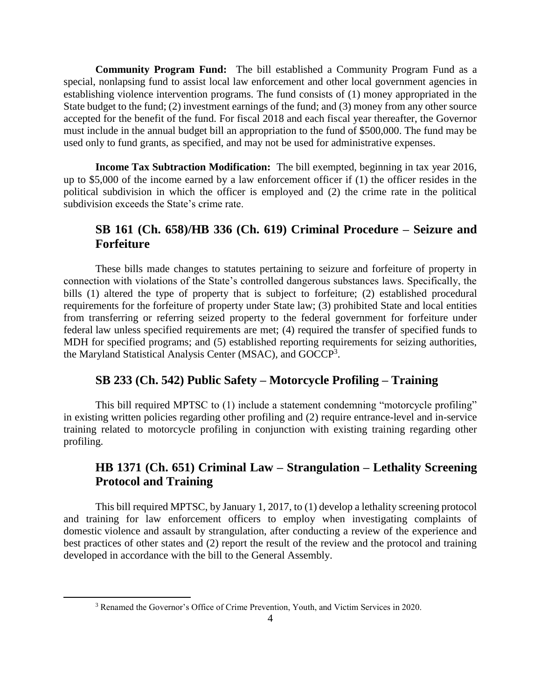**Community Program Fund:** The bill established a Community Program Fund as a special, nonlapsing fund to assist local law enforcement and other local government agencies in establishing violence intervention programs. The fund consists of (1) money appropriated in the State budget to the fund; (2) investment earnings of the fund; and (3) money from any other source accepted for the benefit of the fund. For fiscal 2018 and each fiscal year thereafter, the Governor must include in the annual budget bill an appropriation to the fund of \$500,000. The fund may be used only to fund grants, as specified, and may not be used for administrative expenses.

**Income Tax Subtraction Modification:** The bill exempted, beginning in tax year 2016, up to \$5,000 of the income earned by a law enforcement officer if (1) the officer resides in the political subdivision in which the officer is employed and (2) the crime rate in the political subdivision exceeds the State's crime rate.

#### **SB 161 (Ch. 658)/HB 336 (Ch. 619) Criminal Procedure – Seizure and Forfeiture**

These bills made changes to statutes pertaining to seizure and forfeiture of property in connection with violations of the State's controlled dangerous substances laws. Specifically, the bills (1) altered the type of property that is subject to forfeiture; (2) established procedural requirements for the forfeiture of property under State law; (3) prohibited State and local entities from transferring or referring seized property to the federal government for forfeiture under federal law unless specified requirements are met; (4) required the transfer of specified funds to MDH for specified programs; and (5) established reporting requirements for seizing authorities, the Maryland Statistical Analysis Center (MSAC), and GOCCP<sup>3</sup>.

#### **SB 233 (Ch. 542) Public Safety – Motorcycle Profiling – Training**

This bill required MPTSC to (1) include a statement condemning "motorcycle profiling" in existing written policies regarding other profiling and (2) require entrance-level and in-service training related to motorcycle profiling in conjunction with existing training regarding other profiling.

#### **HB 1371 (Ch. 651) Criminal Law – Strangulation – Lethality Screening Protocol and Training**

This bill required MPTSC, by January 1, 2017, to (1) develop a lethality screening protocol and training for law enforcement officers to employ when investigating complaints of domestic violence and assault by strangulation, after conducting a review of the experience and best practices of other states and (2) report the result of the review and the protocol and training developed in accordance with the bill to the General Assembly.

 $\overline{\phantom{a}}$ 

<sup>3</sup> Renamed the Governor's Office of Crime Prevention, Youth, and Victim Services in 2020.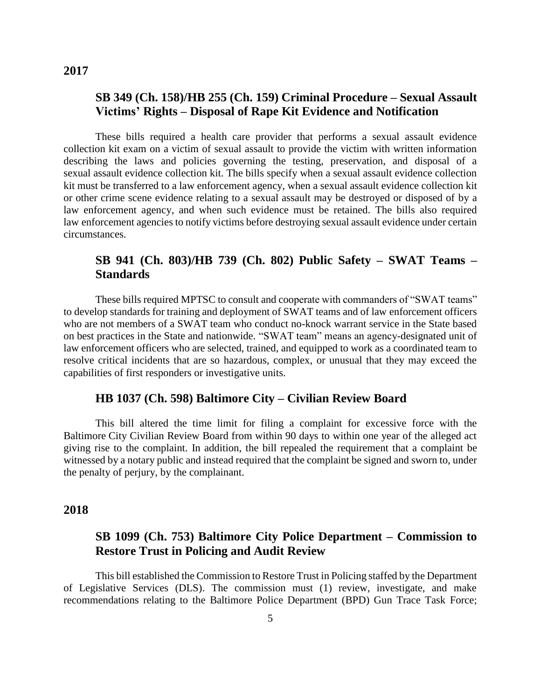#### **SB 349 (Ch. 158)/HB 255 (Ch. 159) Criminal Procedure – Sexual Assault Victims' Rights – Disposal of Rape Kit Evidence and Notification**

These bills required a health care provider that performs a sexual assault evidence collection kit exam on a victim of sexual assault to provide the victim with written information describing the laws and policies governing the testing, preservation, and disposal of a sexual assault evidence collection kit. The bills specify when a sexual assault evidence collection kit must be transferred to a law enforcement agency, when a sexual assault evidence collection kit or other crime scene evidence relating to a sexual assault may be destroyed or disposed of by a law enforcement agency, and when such evidence must be retained. The bills also required law enforcement agencies to notify victims before destroying sexual assault evidence under certain circumstances.

#### **SB 941 (Ch. 803)/HB 739 (Ch. 802) Public Safety – SWAT Teams – Standards**

These bills required MPTSC to consult and cooperate with commanders of "SWAT teams" to develop standards for training and deployment of SWAT teams and of law enforcement officers who are not members of a SWAT team who conduct no-knock warrant service in the State based on best practices in the State and nationwide. "SWAT team" means an agency-designated unit of law enforcement officers who are selected, trained, and equipped to work as a coordinated team to resolve critical incidents that are so hazardous, complex, or unusual that they may exceed the capabilities of first responders or investigative units.

#### **HB 1037 (Ch. 598) Baltimore City – Civilian Review Board**

This bill altered the time limit for filing a complaint for excessive force with the Baltimore City Civilian Review Board from within 90 days to within one year of the alleged act giving rise to the complaint. In addition, the bill repealed the requirement that a complaint be witnessed by a notary public and instead required that the complaint be signed and sworn to, under the penalty of perjury, by the complainant.

#### **2018**

#### **SB 1099 (Ch. 753) Baltimore City Police Department – Commission to Restore Trust in Policing and Audit Review**

This bill established the Commission to Restore Trust in Policing staffed by the Department of Legislative Services (DLS). The commission must (1) review, investigate, and make recommendations relating to the Baltimore Police Department (BPD) Gun Trace Task Force;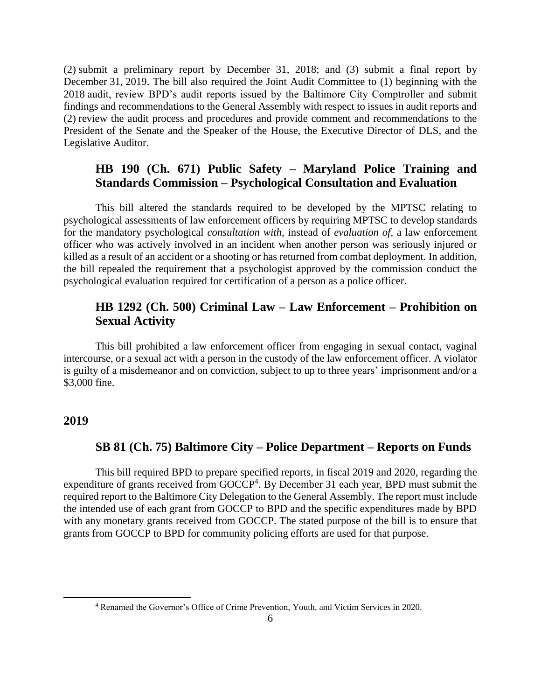(2) submit a preliminary report by December 31, 2018; and (3) submit a final report by December 31, 2019. The bill also required the Joint Audit Committee to (1) beginning with the 2018 audit, review BPD's audit reports issued by the Baltimore City Comptroller and submit findings and recommendations to the General Assembly with respect to issues in audit reports and (2) review the audit process and procedures and provide comment and recommendations to the President of the Senate and the Speaker of the House, the Executive Director of DLS, and the Legislative Auditor.

#### **HB 190 (Ch. 671) Public Safety – Maryland Police Training and Standards Commission – Psychological Consultation and Evaluation**

This bill altered the standards required to be developed by the MPTSC relating to psychological assessments of law enforcement officers by requiring MPTSC to develop standards for the mandatory psychological *consultation with*, instead of *evaluation of*, a law enforcement officer who was actively involved in an incident when another person was seriously injured or killed as a result of an accident or a shooting or has returned from combat deployment. In addition, the bill repealed the requirement that a psychologist approved by the commission conduct the psychological evaluation required for certification of a person as a police officer.

#### **HB 1292 (Ch. 500) Criminal Law – Law Enforcement – Prohibition on Sexual Activity**

This bill prohibited a law enforcement officer from engaging in sexual contact, vaginal intercourse, or a sexual act with a person in the custody of the law enforcement officer. A violator is guilty of a misdemeanor and on conviction, subject to up to three years' imprisonment and/or a \$3,000 fine.

#### **2019**

 $\overline{\phantom{a}}$ 

#### **SB 81 (Ch. 75) Baltimore City – Police Department – Reports on Funds**

This bill required BPD to prepare specified reports, in fiscal 2019 and 2020, regarding the expenditure of grants received from GOCCP<sup>4</sup>. By December 31 each year, BPD must submit the required report to the Baltimore City Delegation to the General Assembly. The report must include the intended use of each grant from GOCCP to BPD and the specific expenditures made by BPD with any monetary grants received from GOCCP. The stated purpose of the bill is to ensure that grants from GOCCP to BPD for community policing efforts are used for that purpose.

<sup>4</sup> Renamed the Governor's Office of Crime Prevention, Youth, and Victim Services in 2020.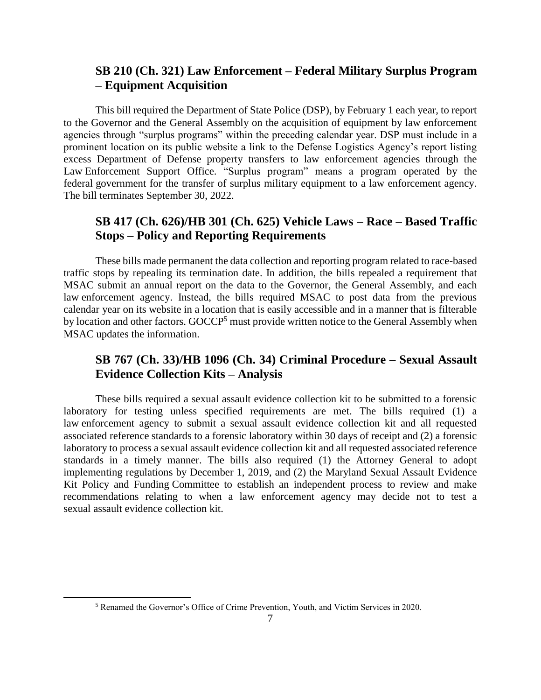#### **SB 210 (Ch. 321) Law Enforcement – Federal Military Surplus Program – Equipment Acquisition**

This bill required the Department of State Police (DSP), by February 1 each year, to report to the Governor and the General Assembly on the acquisition of equipment by law enforcement agencies through "surplus programs" within the preceding calendar year. DSP must include in a prominent location on its public website a link to the Defense Logistics Agency's report listing excess Department of Defense property transfers to law enforcement agencies through the Law Enforcement Support Office. "Surplus program" means a program operated by the federal government for the transfer of surplus military equipment to a law enforcement agency. The bill terminates September 30, 2022.

#### **SB 417 (Ch. 626)/HB 301 (Ch. 625) Vehicle Laws – Race – Based Traffic Stops – Policy and Reporting Requirements**

These bills made permanent the data collection and reporting program related to race-based traffic stops by repealing its termination date. In addition, the bills repealed a requirement that MSAC submit an annual report on the data to the Governor, the General Assembly, and each law enforcement agency. Instead, the bills required MSAC to post data from the previous calendar year on its website in a location that is easily accessible and in a manner that is filterable by location and other factors. GOCCP<sup>5</sup> must provide written notice to the General Assembly when MSAC updates the information.

#### **SB 767 (Ch. 33)/HB 1096 (Ch. 34) Criminal Procedure – Sexual Assault Evidence Collection Kits – Analysis**

These bills required a sexual assault evidence collection kit to be submitted to a forensic laboratory for testing unless specified requirements are met. The bills required (1) a law enforcement agency to submit a sexual assault evidence collection kit and all requested associated reference standards to a forensic laboratory within 30 days of receipt and (2) a forensic laboratory to process a sexual assault evidence collection kit and all requested associated reference standards in a timely manner. The bills also required (1) the Attorney General to adopt implementing regulations by December 1, 2019, and (2) the Maryland Sexual Assault Evidence Kit Policy and Funding Committee to establish an independent process to review and make recommendations relating to when a law enforcement agency may decide not to test a sexual assault evidence collection kit.

 $\overline{\phantom{a}}$ 

<sup>5</sup> Renamed the Governor's Office of Crime Prevention, Youth, and Victim Services in 2020.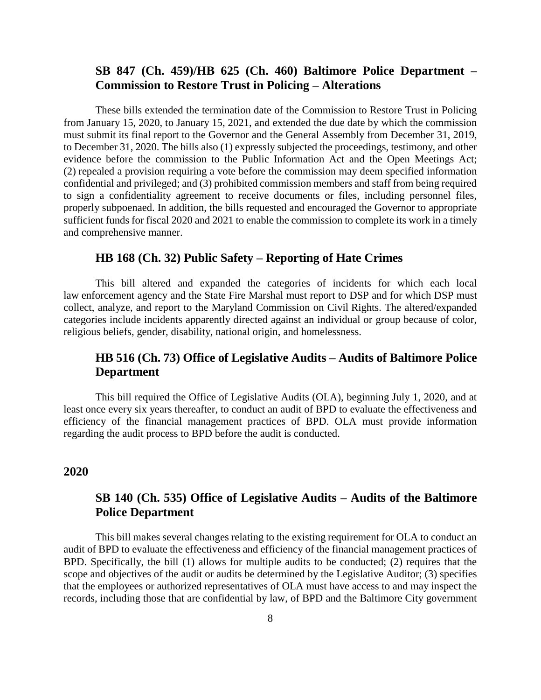#### **SB 847 (Ch. 459)/HB 625 (Ch. 460) Baltimore Police Department – Commission to Restore Trust in Policing – Alterations**

These bills extended the termination date of the Commission to Restore Trust in Policing from January 15, 2020, to January 15, 2021, and extended the due date by which the commission must submit its final report to the Governor and the General Assembly from December 31, 2019, to December 31, 2020. The bills also (1) expressly subjected the proceedings, testimony, and other evidence before the commission to the Public Information Act and the Open Meetings Act; (2) repealed a provision requiring a vote before the commission may deem specified information confidential and privileged; and (3) prohibited commission members and staff from being required to sign a confidentiality agreement to receive documents or files, including personnel files, properly subpoenaed. In addition, the bills requested and encouraged the Governor to appropriate sufficient funds for fiscal 2020 and 2021 to enable the commission to complete its work in a timely and comprehensive manner.

#### **HB 168 (Ch. 32) Public Safety – Reporting of Hate Crimes**

This bill altered and expanded the categories of incidents for which each local law enforcement agency and the State Fire Marshal must report to DSP and for which DSP must collect, analyze, and report to the Maryland Commission on Civil Rights. The altered/expanded categories include incidents apparently directed against an individual or group because of color, religious beliefs, gender, disability, national origin, and homelessness.

#### **HB 516 (Ch. 73) Office of Legislative Audits – Audits of Baltimore Police Department**

This bill required the Office of Legislative Audits (OLA), beginning July 1, 2020, and at least once every six years thereafter, to conduct an audit of BPD to evaluate the effectiveness and efficiency of the financial management practices of BPD. OLA must provide information regarding the audit process to BPD before the audit is conducted.

#### **2020**

#### **SB 140 (Ch. 535) Office of Legislative Audits – Audits of the Baltimore Police Department**

This bill makes several changes relating to the existing requirement for OLA to conduct an audit of BPD to evaluate the effectiveness and efficiency of the financial management practices of BPD. Specifically, the bill (1) allows for multiple audits to be conducted; (2) requires that the scope and objectives of the audit or audits be determined by the Legislative Auditor; (3) specifies that the employees or authorized representatives of OLA must have access to and may inspect the records, including those that are confidential by law, of BPD and the Baltimore City government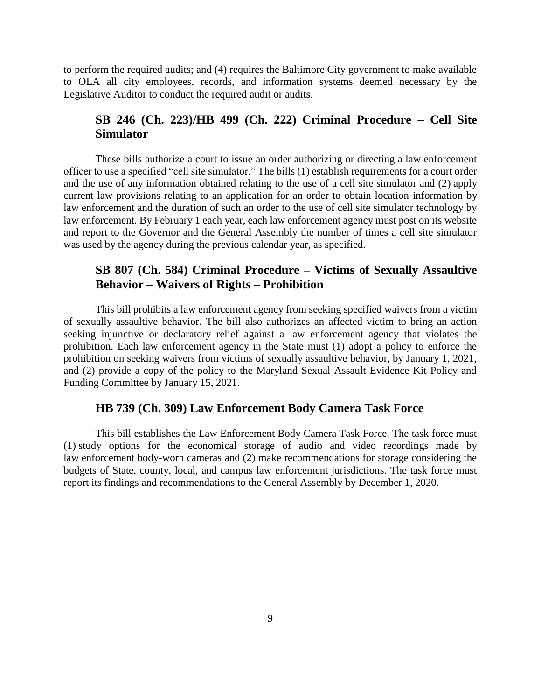to perform the required audits; and (4) requires the Baltimore City government to make available to OLA all city employees, records, and information systems deemed necessary by the Legislative Auditor to conduct the required audit or audits.

#### **SB 246 (Ch. 223)/HB 499 (Ch. 222) Criminal Procedure – Cell Site Simulator**

These bills authorize a court to issue an order authorizing or directing a law enforcement officer to use a specified "cell site simulator." The bills (1) establish requirements for a court order and the use of any information obtained relating to the use of a cell site simulator and (2) apply current law provisions relating to an application for an order to obtain location information by law enforcement and the duration of such an order to the use of cell site simulator technology by law enforcement. By February 1 each year, each law enforcement agency must post on its website and report to the Governor and the General Assembly the number of times a cell site simulator was used by the agency during the previous calendar year, as specified.

#### **SB 807 (Ch. 584) Criminal Procedure – Victims of Sexually Assaultive Behavior – Waivers of Rights – Prohibition**

This bill prohibits a law enforcement agency from seeking specified waivers from a victim of sexually assaultive behavior. The bill also authorizes an affected victim to bring an action seeking injunctive or declaratory relief against a law enforcement agency that violates the prohibition. Each law enforcement agency in the State must (1) adopt a policy to enforce the prohibition on seeking waivers from victims of sexually assaultive behavior, by January 1, 2021, and (2) provide a copy of the policy to the Maryland Sexual Assault Evidence Kit Policy and Funding Committee by January 15, 2021.

#### **HB 739 (Ch. 309) Law Enforcement Body Camera Task Force**

This bill establishes the Law Enforcement Body Camera Task Force. The task force must (1) study options for the economical storage of audio and video recordings made by law enforcement body-worn cameras and (2) make recommendations for storage considering the budgets of State, county, local, and campus law enforcement jurisdictions. The task force must report its findings and recommendations to the General Assembly by December 1, 2020.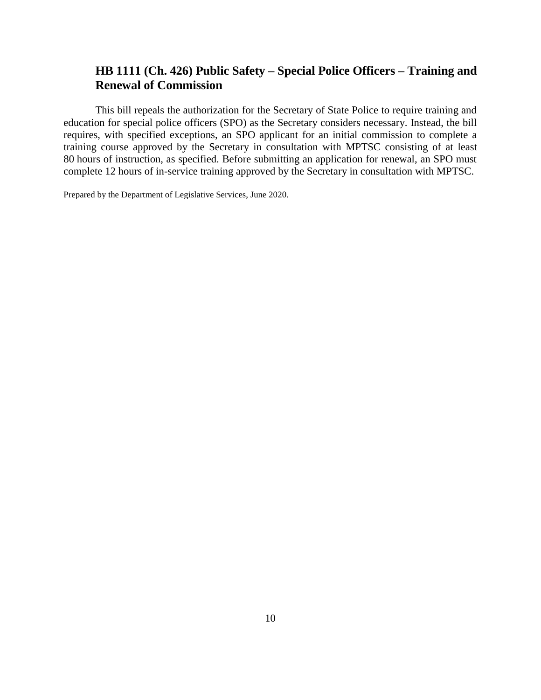#### **HB 1111 (Ch. 426) Public Safety – Special Police Officers – Training and Renewal of Commission**

This bill repeals the authorization for the Secretary of State Police to require training and education for special police officers (SPO) as the Secretary considers necessary. Instead, the bill requires, with specified exceptions, an SPO applicant for an initial commission to complete a training course approved by the Secretary in consultation with MPTSC consisting of at least 80 hours of instruction, as specified. Before submitting an application for renewal, an SPO must complete 12 hours of in-service training approved by the Secretary in consultation with MPTSC.

Prepared by the Department of Legislative Services, June 2020.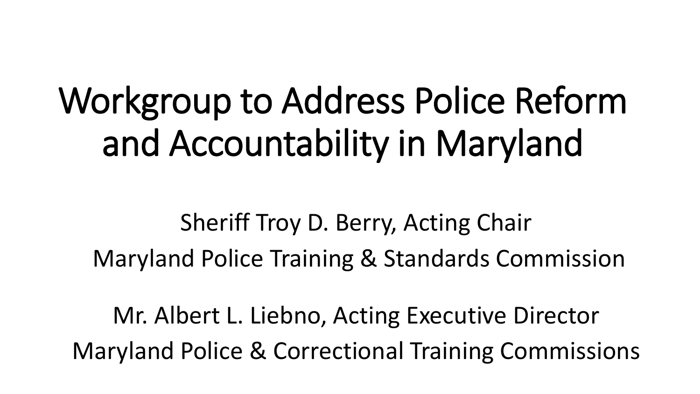## Workgroup to Address Police Reform and Accountability in Maryland

Sheriff Troy D. Berry, Acting Chair Maryland Police Training & Standards Commission

Mr. Albert L. Liebno, Acting Executive Director Maryland Police & Correctional Training Commissions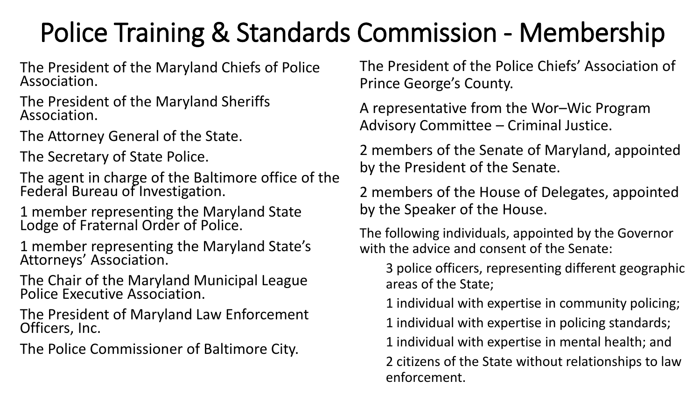### Police Training & Standards Commission - Membership

The President of the Maryland Chiefs of Police Association.

The President of the Maryland Sheriffs Association.

The Attorney General of the State.

The Secretary of State Police.

The agent in charge of the Baltimore office of the Federal Bureau of Investigation.

1 member representing the Maryland State Lodge of Fraternal Order of Police.

1 member representing the Maryland State's Attorneys' Association.

The Chair of the Maryland Municipal League Police Executive Association.

The President of Maryland Law Enforcement Officers, Inc.

The Police Commissioner of Baltimore City.

The President of the Police Chiefs' Association of Prince George's County.

A representative from the Wor–Wic Program Advisory Committee – Criminal Justice.

2 members of the Senate of Maryland, appointed by the President of the Senate.

2 members of the House of Delegates, appointed by the Speaker of the House.

The following individuals, appointed by the Governor with the advice and consent of the Senate:

3 police officers, representing different geographic areas of the State;

1 individual with expertise in community policing;

1 individual with expertise in policing standards;

1 individual with expertise in mental health; and

2 citizens of the State without relationships to law enforcement.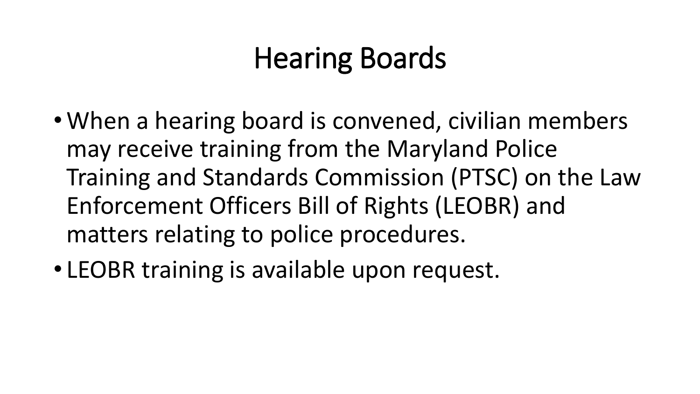### Hearing Boards

- When a hearing board is convened, civilian members may receive training from the Maryland Police Training and Standards Commission (PTSC) on the Law Enforcement Officers Bill of Rights (LEOBR) and matters relating to police procedures.
- LEOBR training is available upon request.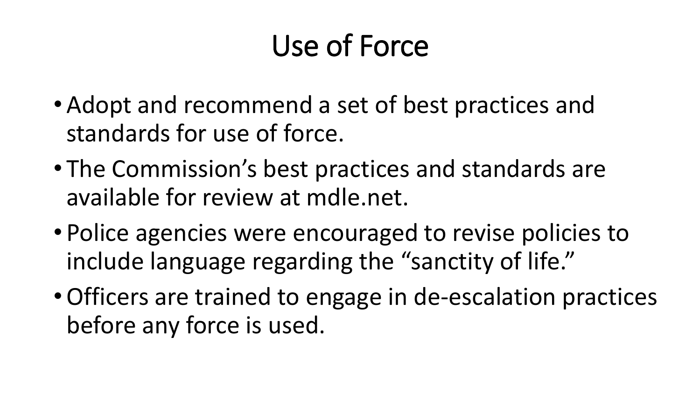### Use of Force

- Adopt and recommend a set of best practices and standards for use of force.
- The Commission's best practices and standards are available for review at mdle.net.
- Police agencies were encouraged to revise policies to include language regarding the "sanctity of life."
- •Officers are trained to engage in de-escalation practices before any force is used.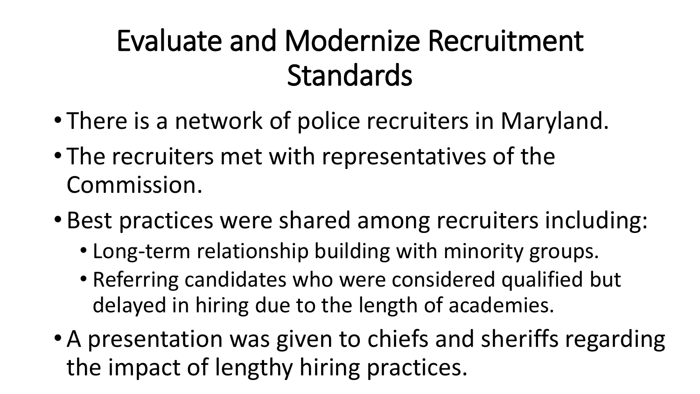### Evaluate and Modernize Recruitment Standards

- There is a network of police recruiters in Maryland.
- The recruiters met with representatives of the Commission.
- Best practices were shared among recruiters including:
	- Long-term relationship building with minority groups.
	- Referring candidates who were considered qualified but delayed in hiring due to the length of academies.
- A presentation was given to chiefs and sheriffs regarding the impact of lengthy hiring practices.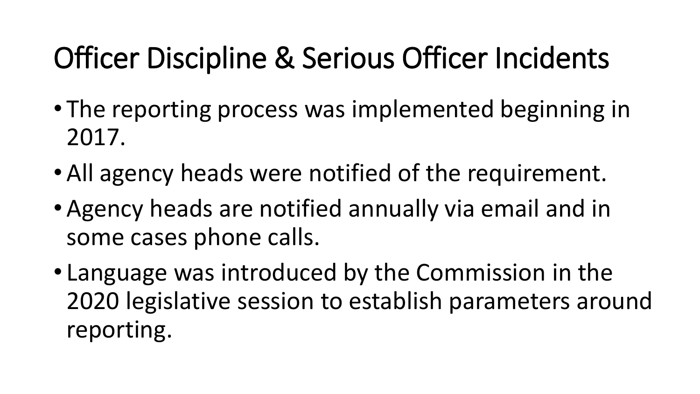### Officer Discipline & Serious Officer Incidents

- The reporting process was implemented beginning in 2017.
- All agency heads were notified of the requirement.
- Agency heads are notified annually via email and in some cases phone calls.
- Language was introduced by the Commission in the 2020 legislative session to establish parameters around reporting.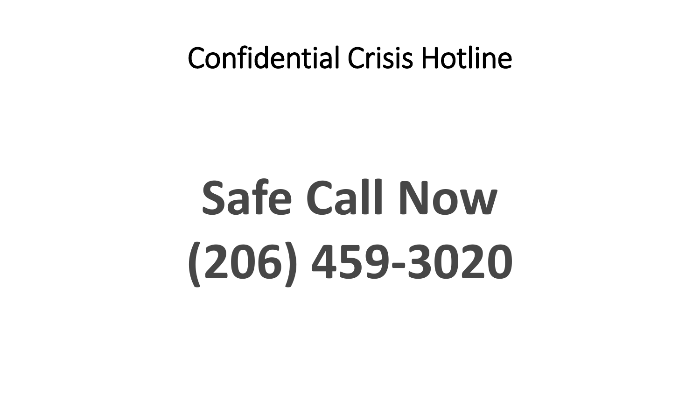### Confidential Crisis Hotline

# **Safe Call Now (206) 459-3020**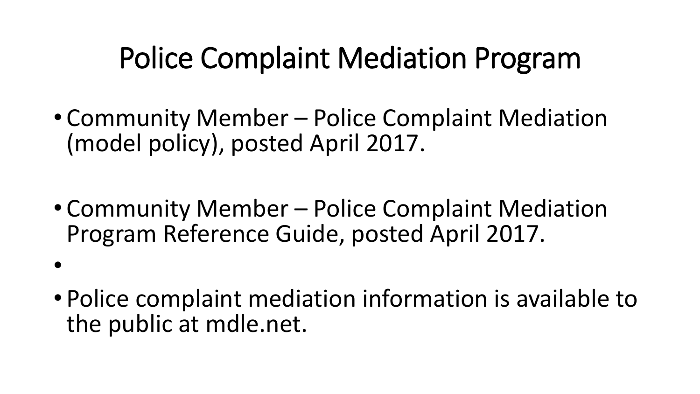### Police Complaint Mediation Program

- Community Member Police Complaint Mediation (model policy), posted April 2017.
- Community Member Police Complaint Mediation Program Reference Guide, posted April 2017.
- •
- Police complaint mediation information is available to the public at mdle.net.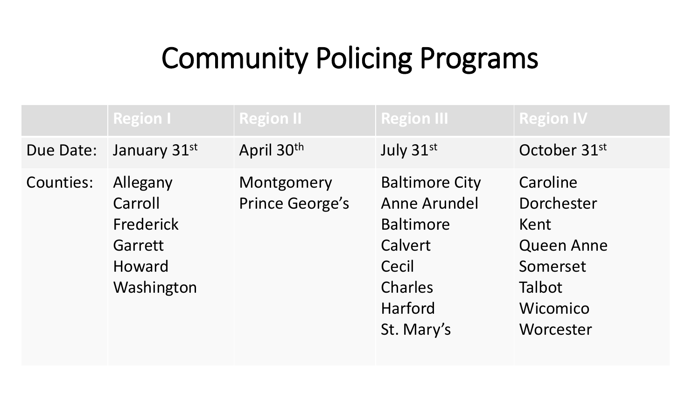### Community Policing Programs

|           | <b>Region I</b>                                                     | <b>Region II</b>                     | <b>Region III</b>                                                                                                        | <b>Region IV</b>                                                                                   |
|-----------|---------------------------------------------------------------------|--------------------------------------|--------------------------------------------------------------------------------------------------------------------------|----------------------------------------------------------------------------------------------------|
| Due Date: | January $31st$                                                      | April 30th                           | July 31st                                                                                                                | October 31st                                                                                       |
| Counties: | Allegany<br>Carroll<br>Frederick<br>Garrett<br>Howard<br>Washington | Montgomery<br><b>Prince George's</b> | <b>Baltimore City</b><br><b>Anne Arundel</b><br><b>Baltimore</b><br>Calvert<br>Cecil<br>Charles<br>Harford<br>St. Mary's | Caroline<br>Dorchester<br>Kent<br><b>Queen Anne</b><br>Somerset<br>Talbot<br>Wicomico<br>Worcester |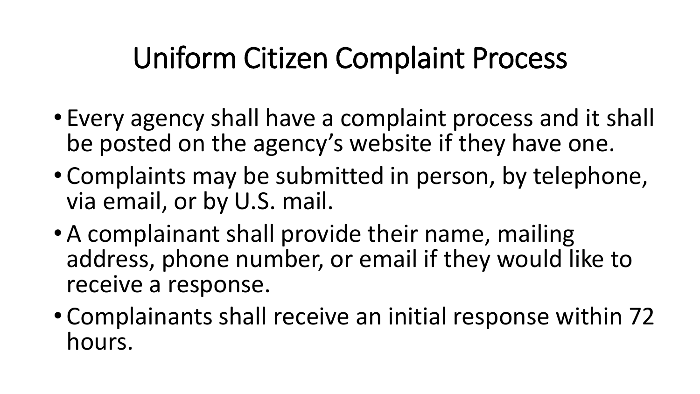### Uniform Citizen Complaint Process

- Every agency shall have a complaint process and it shall be posted on the agency's website if they have one.
- Complaints may be submitted in person, by telephone, via email, or by U.S. mail.
- A complainant shall provide their name, mailing address, phone number, or email if they would like to receive a response.
- Complainants shall receive an initial response within 72 hours.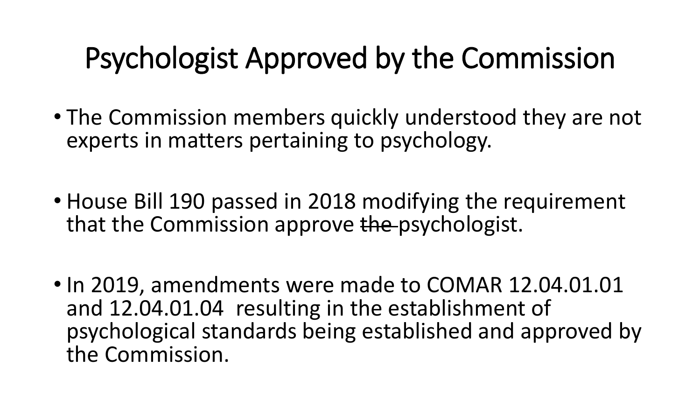### Psychologist Approved by the Commission

- The Commission members quickly understood they are not experts in matters pertaining to psychology.
- House Bill 190 passed in 2018 modifying the requirement that the Commission approve the psychologist.
- In 2019, amendments were made to COMAR 12.04.01.01 and 12.04.01.04 resulting in the establishment of psychological standards being established and approved by the Commission.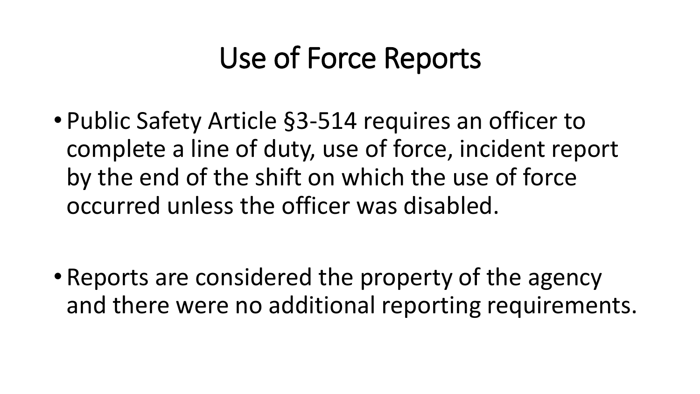### Use of Force Reports

• Public Safety Article §3-514 requires an officer to complete a line of duty, use of force, incident report by the end of the shift on which the use of force occurred unless the officer was disabled.

• Reports are considered the property of the agency and there were no additional reporting requirements.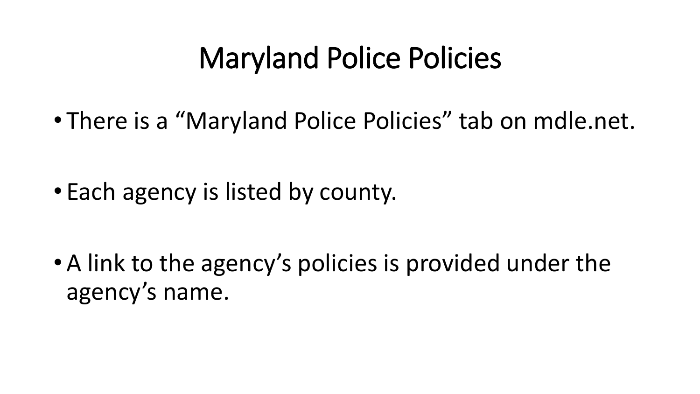### Maryland Police Policies

• There is a "Maryland Police Policies" tab on mdle.net.

• Each agency is listed by county.

• A link to the agency's policies is provided under the agency's name.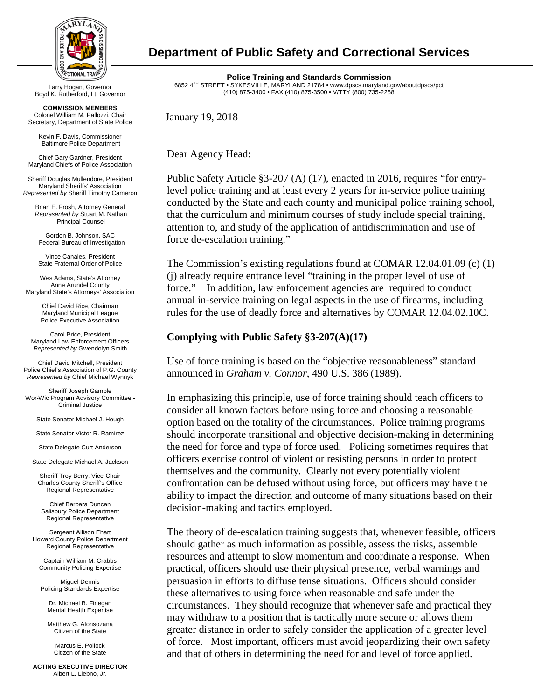

Boyd K. Rutherford, Lt. Governor

**COMMISSION MEMBERS** Colonel William M. Pallozzi, Chair Secretary, Department of State Police

> Kevin F. Davis, Commissioner Baltimore Police Department

Chief Gary Gardner, President Maryland Chiefs of Police Association

Sheriff Douglas Mullendore, President Maryland Sheriffs' Association *Represented by* Sheriff Timothy Cameron

Brian E. Frosh, Attorney General *Represented by* Stuart M. Nathan Principal Counsel

Gordon B. Johnson, SAC Federal Bureau of Investigation

Vince Canales, President State Fraternal Order of Police

Wes Adams, State's Attorney Anne Arundel County Maryland State's Attorneys' Association

> Chief David Rice, Chairman Maryland Municipal League Police Executive Association

Carol Price, President Maryland Law Enforcement Officers *Represented by* Gwendolyn Smith

Chief David Mitchell, President Police Chief's Association of P.G. County *Represented by* Chief Michael Wynnyk

Sheriff Joseph Gamble Wor-Wic Program Advisory Committee - Criminal Justice

State Senator Michael J. Hough

State Senator Victor R. Ramirez

State Delegate Curt Anderson

State Delegate Michael A. Jackson

Sheriff Troy Berry, Vice-Chair Charles County Sheriff's Office Regional Representative

Chief Barbara Duncan Salisbury Police Department Regional Representative

Sergeant Allison Ehart Howard County Police Department Regional Representative

Captain William M. Crabbs Community Policing Expertise

Miguel Dennis Policing Standards Expertise

Dr. Michael B. Finegan Mental Health Expertise

Matthew G. Alonsozana Citizen of the State

> Marcus E. Pollock Citizen of the State

**ACTING EXECUTIVE DIRECTOR** Albert L. Liebno, Jr.

#### **Department of Public Safety and Correctional Services**

**Police Training and Standards Commission** 6852 4TH STREET • SYKESVILLE, MARYLAND 21784 • www.dpscs.maryland.gov/aboutdpscs/pct (410) 875-3400 • FAX (410) 875-3500 • V/TTY (800) 735-2258 Larry Hogan, Governor

January 19, 2018

Dear Agency Head:

Public Safety Article §3-207 (A) (17), enacted in 2016, requires "for entrylevel police training and at least every 2 years for in-service police training conducted by the State and each county and municipal police training school, that the curriculum and minimum courses of study include special training, attention to, and study of the application of antidiscrimination and use of force de-escalation training."

The Commission's existing regulations found at COMAR 12.04.01.09 (c) (1) (j) already require entrance level "training in the proper level of use of force." In addition, law enforcement agencies are required to conduct annual in-service training on legal aspects in the use of firearms, including rules for the use of deadly force and alternatives by COMAR 12.04.02.10C.

#### **Complying with Public Safety §3-207(A)(17)**

Use of force training is based on the "objective reasonableness" standard announced in *Graham v. Connor*, 490 U.S. 386 (1989).

In emphasizing this principle, use of force training should teach officers to consider all known factors before using force and choosing a reasonable option based on the totality of the circumstances. Police training programs should incorporate transitional and objective decision-making in determining the need for force and type of force used. Policing sometimes requires that officers exercise control of violent or resisting persons in order to protect themselves and the community. Clearly not every potentially violent confrontation can be defused without using force, but officers may have the ability to impact the direction and outcome of many situations based on their decision-making and tactics employed.

The theory of de-escalation training suggests that, whenever feasible, officers should gather as much information as possible, assess the risks, assemble resources and attempt to slow momentum and coordinate a response. When practical, officers should use their physical presence, verbal warnings and persuasion in efforts to diffuse tense situations. Officers should consider these alternatives to using force when reasonable and safe under the circumstances. They should recognize that whenever safe and practical they may withdraw to a position that is tactically more secure or allows them greater distance in order to safely consider the application of a greater level of force. Most important, officers must avoid jeopardizing their own safety and that of others in determining the need for and level of force applied.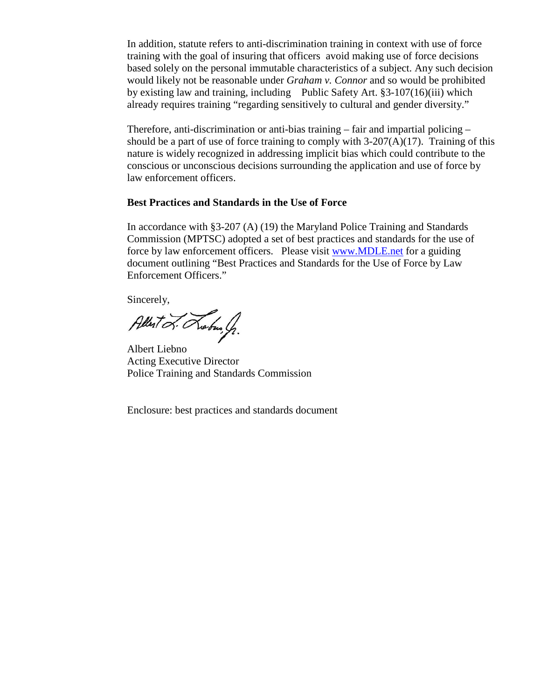In addition, statute refers to anti-discrimination training in context with use of force training with the goal of insuring that officers avoid making use of force decisions based solely on the personal immutable characteristics of a subject. Any such decision would likely not be reasonable under *Graham v. Connor* and so would be prohibited by existing law and training, including Public Safety Art. §3-107(16)(iii) which already requires training "regarding sensitively to cultural and gender diversity."

Therefore, anti-discrimination or anti-bias training – fair and impartial policing – should be a part of use of force training to comply with  $3-207(A)(17)$ . Training of this nature is widely recognized in addressing implicit bias which could contribute to the conscious or unconscious decisions surrounding the application and use of force by law enforcement officers.

#### **Best Practices and Standards in the Use of Force**

In accordance with §3-207 (A) (19) the Maryland Police Training and Standards Commission (MPTSC) adopted a set of best practices and standards for the use of force by law enforcement officers. Please visit [www.MDLE.net](http://www.mdle.net/) for a guiding document outlining "Best Practices and Standards for the Use of Force by Law Enforcement Officers."

Sincerely,

Albert L. Lebus, J.

Albert Liebno Acting Executive Director Police Training and Standards Commission

Enclosure: best practices and standards document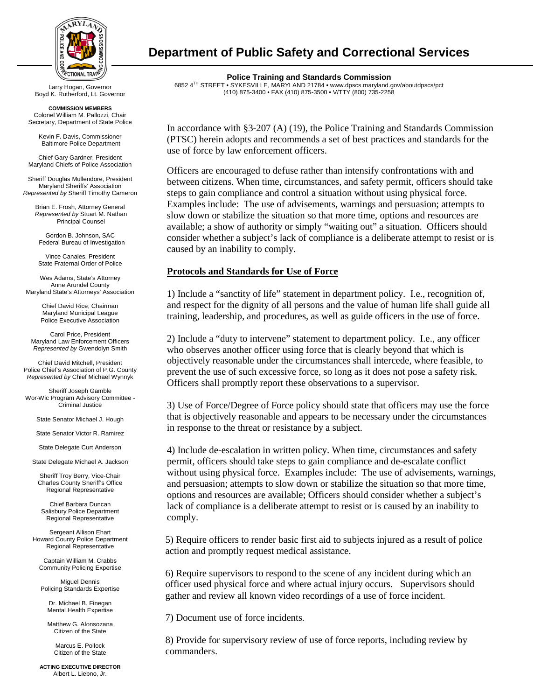

Boyd K. Rutherford, Lt. Governor

**COMMISSION MEMBERS** Colonel William M. Pallozzi, Chair Secretary, Department of State Police

> Kevin F. Davis, Commissioner Baltimore Police Department

Chief Gary Gardner, President Maryland Chiefs of Police Association

Sheriff Douglas Mullendore, President Maryland Sheriffs' Association *Represented by* Sheriff Timothy Cameron

Brian E. Frosh, Attorney General *Represented by* Stuart M. Nathan Principal Counsel

Gordon B. Johnson, SAC Federal Bureau of Investigation

Vince Canales, President State Fraternal Order of Police

Wes Adams, State's Attorney Anne Arundel County Maryland State's Attorneys' Association

> Chief David Rice, Chairman Maryland Municipal League Police Executive Association

Carol Price, President Maryland Law Enforcement Officers *Represented by* Gwendolyn Smith

Chief David Mitchell, President Police Chief's Association of P.G. County *Represented by* Chief Michael Wynnyk

Sheriff Joseph Gamble Wor-Wic Program Advisory Committee - Criminal Justice

State Senator Michael J. Hough

State Senator Victor R. Ramirez

State Delegate Curt Anderson

State Delegate Michael A. Jackson

Sheriff Troy Berry, Vice-Chair Charles County Sheriff's Office Regional Representative

Chief Barbara Duncan Salisbury Police Department Regional Representative

Sergeant Allison Ehart Howard County Police Department Regional Representative

Captain William M. Crabbs Community Policing Expertise

Miguel Dennis Policing Standards Expertise

Dr. Michael B. Finegan Mental Health Expertise

Matthew G. Alonsozana Citizen of the State

> Marcus E. Pollock Citizen of the State

**ACTING EXECUTIVE DIRECTOR** Albert L. Liebno, Jr.

#### **Department of Public Safety and Correctional Services**

**Police Training and Standards Commission** 6852 4TH STREET • SYKESVILLE, MARYLAND 21784 • www.dpscs.maryland.gov/aboutdpscs/pct (410) 875-3400 • FAX (410) 875-3500 • V/TTY (800) 735-2258 Larry Hogan, Governor

> In accordance with §3-207 (A) (19), the Police Training and Standards Commission (PTSC) herein adopts and recommends a set of best practices and standards for the use of force by law enforcement officers.

> Officers are encouraged to defuse rather than intensify confrontations with and between citizens. When time, circumstances, and safety permit, officers should take steps to gain compliance and control a situation without using physical force. Examples include: The use of advisements, warnings and persuasion; attempts to slow down or stabilize the situation so that more time, options and resources are available; a show of authority or simply "waiting out" a situation. Officers should consider whether a subject's lack of compliance is a deliberate attempt to resist or is caused by an inability to comply.

#### **Protocols and Standards for Use of Force**

1) Include a "sanctity of life" statement in department policy. I.e., recognition of, and respect for the dignity of all persons and the value of human life shall guide all training, leadership, and procedures, as well as guide officers in the use of force.

2) Include a "duty to intervene" statement to department policy. I.e., any officer who observes another officer using force that is clearly beyond that which is objectively reasonable under the circumstances shall intercede, where feasible, to prevent the use of such excessive force, so long as it does not pose a safety risk. Officers shall promptly report these observations to a supervisor.

3) Use of Force/Degree of Force policy should state that officers may use the force that is objectively reasonable and appears to be necessary under the circumstances in response to the threat or resistance by a subject.

4) Include de-escalation in written policy. When time, circumstances and safety permit, officers should take steps to gain compliance and de-escalate conflict without using physical force. Examples include: The use of advisements, warnings, and persuasion; attempts to slow down or stabilize the situation so that more time, options and resources are available; Officers should consider whether a subject's lack of compliance is a deliberate attempt to resist or is caused by an inability to comply.

5) Require officers to render basic first aid to subjects injured as a result of police action and promptly request medical assistance.

6) Require supervisors to respond to the scene of any incident during which an officer used physical force and where actual injury occurs. Supervisors should gather and review all known video recordings of a use of force incident.

7) Document use of force incidents.

8) Provide for supervisory review of use of force reports, including review by commanders.